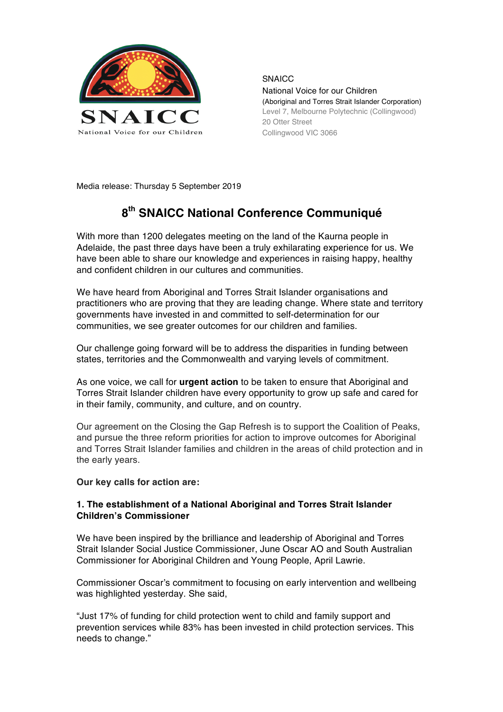

**SNAICC** National Voice for our Children (Aboriginal and Torres Strait Islander Corporation) Level 7, Melbourne Polytechnic (Collingwood) 20 Otter Street Collingwood VIC 3066

Media release: Thursday 5 September 2019

## **8th SNAICC National Conference Communiqué**

With more than 1200 delegates meeting on the land of the Kaurna people in Adelaide, the past three days have been a truly exhilarating experience for us. We have been able to share our knowledge and experiences in raising happy, healthy and confident children in our cultures and communities.

We have heard from Aboriginal and Torres Strait Islander organisations and practitioners who are proving that they are leading change. Where state and territory governments have invested in and committed to self-determination for our communities, we see greater outcomes for our children and families.

Our challenge going forward will be to address the disparities in funding between states, territories and the Commonwealth and varying levels of commitment.

As one voice, we call for **urgent action** to be taken to ensure that Aboriginal and Torres Strait Islander children have every opportunity to grow up safe and cared for in their family, community, and culture, and on country.

Our agreement on the Closing the Gap Refresh is to support the Coalition of Peaks, and pursue the three reform priorities for action to improve outcomes for Aboriginal and Torres Strait Islander families and children in the areas of child protection and in the early years.

#### **Our key calls for action are:**

### **1. The establishment of a National Aboriginal and Torres Strait Islander Children's Commissioner**

We have been inspired by the brilliance and leadership of Aboriginal and Torres Strait Islander Social Justice Commissioner, June Oscar AO and South Australian Commissioner for Aboriginal Children and Young People, April Lawrie.

Commissioner Oscar's commitment to focusing on early intervention and wellbeing was highlighted yesterday. She said,

"Just 17% of funding for child protection went to child and family support and prevention services while 83% has been invested in child protection services. This needs to change."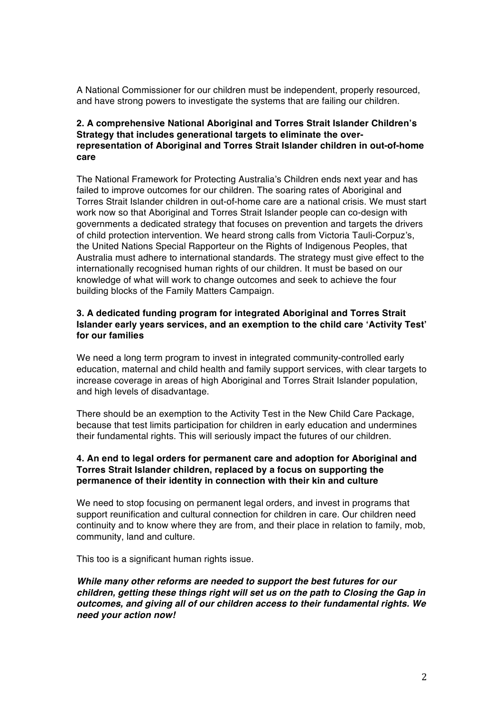A National Commissioner for our children must be independent, properly resourced, and have strong powers to investigate the systems that are failing our children.

## **2. A comprehensive National Aboriginal and Torres Strait Islander Children's Strategy that includes generational targets to eliminate the overrepresentation of Aboriginal and Torres Strait Islander children in out-of-home care**

The National Framework for Protecting Australia's Children ends next year and has failed to improve outcomes for our children. The soaring rates of Aboriginal and Torres Strait Islander children in out-of-home care are a national crisis. We must start work now so that Aboriginal and Torres Strait Islander people can co-design with governments a dedicated strategy that focuses on prevention and targets the drivers of child protection intervention. We heard strong calls from Victoria Tauli-Corpuz's, the United Nations Special Rapporteur on the Rights of Indigenous Peoples, that Australia must adhere to international standards. The strategy must give effect to the internationally recognised human rights of our children. It must be based on our knowledge of what will work to change outcomes and seek to achieve the four building blocks of the Family Matters Campaign.

## **3. A dedicated funding program for integrated Aboriginal and Torres Strait Islander early years services, and an exemption to the child care 'Activity Test' for our families**

We need a long term program to invest in integrated community-controlled early education, maternal and child health and family support services, with clear targets to increase coverage in areas of high Aboriginal and Torres Strait Islander population, and high levels of disadvantage.

There should be an exemption to the Activity Test in the New Child Care Package, because that test limits participation for children in early education and undermines their fundamental rights. This will seriously impact the futures of our children.

## **4. An end to legal orders for permanent care and adoption for Aboriginal and Torres Strait Islander children, replaced by a focus on supporting the permanence of their identity in connection with their kin and culture**

We need to stop focusing on permanent legal orders, and invest in programs that support reunification and cultural connection for children in care. Our children need continuity and to know where they are from, and their place in relation to family, mob, community, land and culture.

This too is a significant human rights issue.

*While many other reforms are needed to support the best futures for our children, getting these things right will set us on the path to Closing the Gap in outcomes, and giving all of our children access to their fundamental rights. We need your action now!*